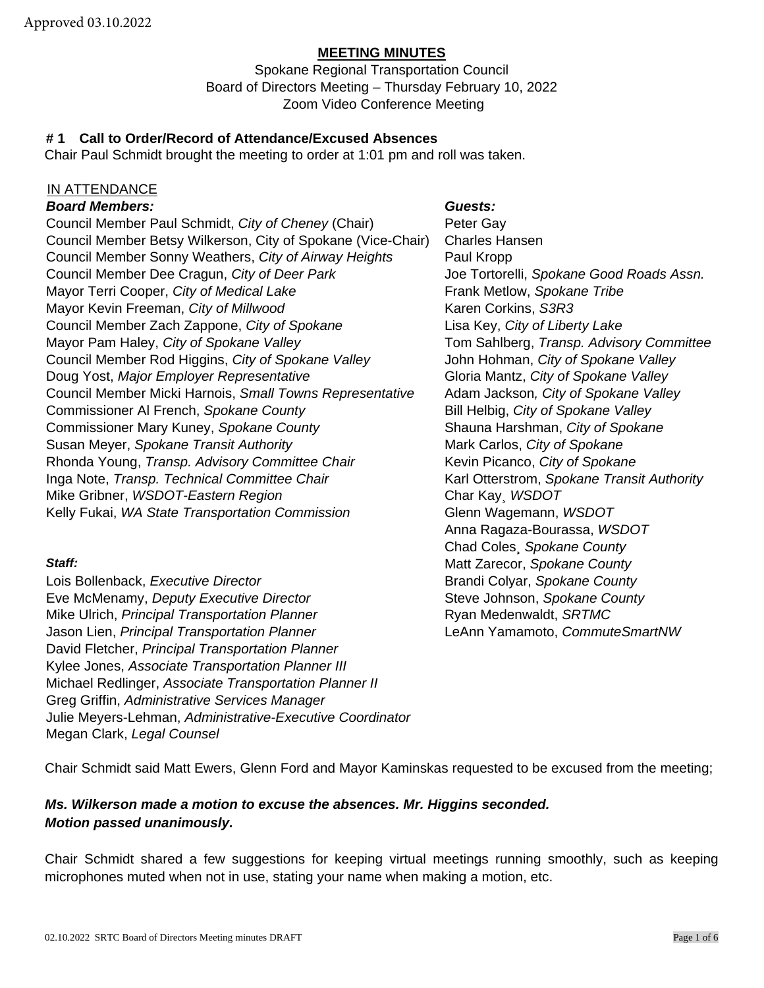#### **MEETING MINUTES**

Spokane Regional Transportation Council Board of Directors Meeting – Thursday February 10, 2022 Zoom Video Conference Meeting

## **# 1 Call to Order/Record of Attendance/Excused Absences**

Chair Paul Schmidt brought the meeting to order at 1:01 pm and roll was taken.

## IN ATTENDANCE

#### *Board Members: Guests:*

Council Member Paul Schmidt, *City of Cheney* (Chair) Peter Gay Council Member Betsy Wilkerson, City of Spokane (Vice-Chair) Charles Hansen Council Member Sonny Weathers, *City of Airway Heights* Paul Kropp Council Member Dee Cragun, *City of Deer Park* Joe Tortorelli, *Spokane Good Roads Assn.* Mayor Terri Cooper, *City of Medical Lake* Frank Metlow, *Spokane Tribe* Mayor Kevin Freeman, *City of Millwood* Karen Corkins, S3R3 Council Member Zach Zappone, *City of Spokane* Lisa Key, *City of Liberty Lake* Mayor Pam Haley, *City of Spokane Valley* Tom Sahlberg, *Transp. Advisory Committee* Council Member Rod Higgins, *City of Spokane Valley* John Hohman, *City of Spokane Valley* Doug Yost, *Major Employer Representative* Gloria Mantz, *City of Spokane Valley* Council Member Micki Harnois, *Small Towns Representative* Adam Jackson*, City of Spokane Valley* Commissioner Al French, *Spokane County* Bill Helbig, *City of Spokane Valley* Commissioner Mary Kuney, *Spokane County* Shauna Harshman, *City of Spokane* Susan Meyer, *Spokane Transit Authority* Mark Carlos, *City of Spokane* Rhonda Young, *Transp. Advisory Committee Chair* Kevin Picanco, *City of Spokane* Inga Note, *Transp. Technical Committee Chair* Karl Otterstrom, *Spokane Transit Authority* Mike Gribner, *WSDOT-Eastern Region* Char Kay¸ *WSDOT* Kelly Fukai, *WA State Transportation Commission* Glenn Wagemann, *WSDOT*

Lois Bollenback, *Executive Director* **Bilange County** Brandi Colyar, *Spokane County* **Eve McMenamy, Deputy Executive Director** Steve Johnson, *Spokane County* Mike Ulrich, *Principal Transportation Planner* **Ryan Medenwaldt,** *SRTMC* Jason Lien, *Principal Transportation Planner* LeAnn Yamamoto, *CommuteSmartNW* David Fletcher, *Principal Transportation Planner* Kylee Jones, *Associate Transportation Planner III* Michael Redlinger, *Associate Transportation Planner II* Greg Griffin, *Administrative Services Manager* Julie Meyers-Lehman, *Administrative-Executive Coordinator* Megan Clark, *Legal Counsel*

Anna Ragaza-Bourassa, *WSDOT* Chad Coles¸ *Spokane County* **Staff: Staff: Matt Zarecor,** *Spokane County* **Matt Zarecor,** *Spokane County* 

Chair Schmidt said Matt Ewers, Glenn Ford and Mayor Kaminskas requested to be excused from the meeting;

## *Ms. Wilkerson made a motion to excuse the absences. Mr. Higgins seconded. Motion passed unanimously.*

Chair Schmidt shared a few suggestions for keeping virtual meetings running smoothly, such as keeping microphones muted when not in use, stating your name when making a motion, etc.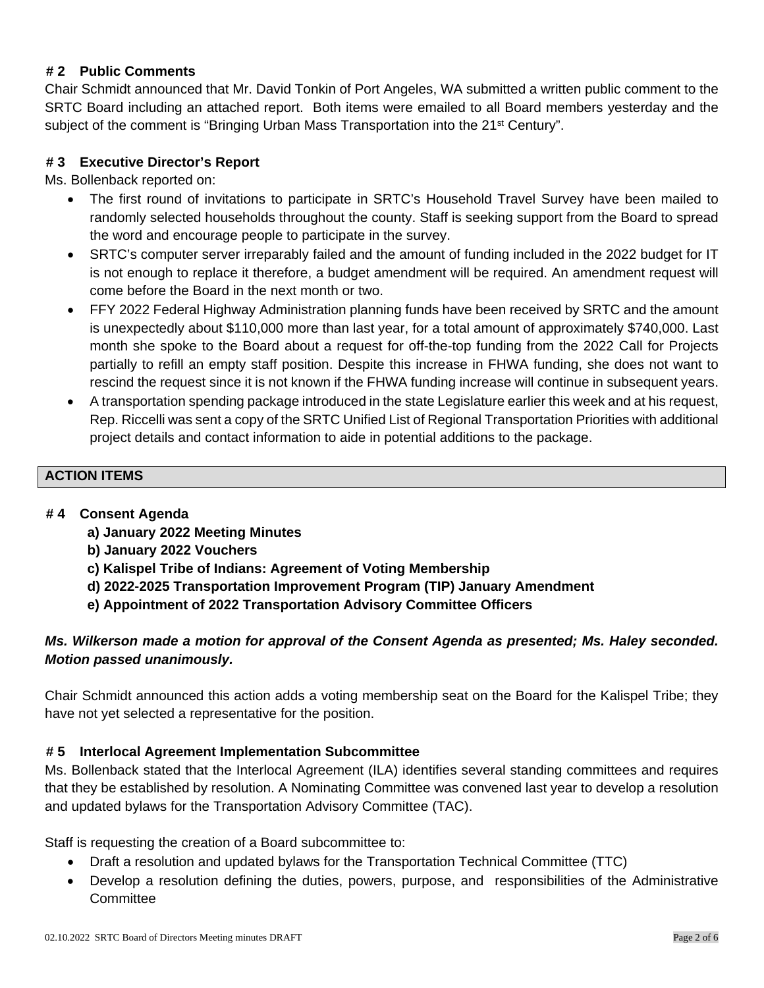## **# 2 Public Comments**

Chair Schmidt announced that Mr. David Tonkin of Port Angeles, WA submitted a written public comment to the SRTC Board including an attached report. Both items were emailed to all Board members yesterday and the subject of the comment is "Bringing Urban Mass Transportation into the 21<sup>st</sup> Century".

## **# 3 Executive Director's Report**

Ms. Bollenback reported on:

- The first round of invitations to participate in SRTC's Household Travel Survey have been mailed to randomly selected households throughout the county. Staff is seeking support from the Board to spread the word and encourage people to participate in the survey.
- SRTC's computer server irreparably failed and the amount of funding included in the 2022 budget for IT is not enough to replace it therefore, a budget amendment will be required. An amendment request will come before the Board in the next month or two.
- FFY 2022 Federal Highway Administration planning funds have been received by SRTC and the amount is unexpectedly about \$110,000 more than last year, for a total amount of approximately \$740,000. Last month she spoke to the Board about a request for off-the-top funding from the 2022 Call for Projects partially to refill an empty staff position. Despite this increase in FHWA funding, she does not want to rescind the request since it is not known if the FHWA funding increase will continue in subsequent years.
- A transportation spending package introduced in the state Legislature earlier this week and at his request, Rep. Riccelli was sent a copy of the SRTC Unified List of Regional Transportation Priorities with additional project details and contact information to aide in potential additions to the package.

## **ACTION ITEMS**

## **# 4 Consent Agenda**

- **a) January 2022 Meeting Minutes**
- **b) January 2022 Vouchers**
- **c) Kalispel Tribe of Indians: Agreement of Voting Membership**
- **d) 2022-2025 Transportation Improvement Program (TIP) January Amendment**
- **e) Appointment of 2022 Transportation Advisory Committee Officers**

## *Ms. Wilkerson made a motion for approval of the Consent Agenda as presented; Ms. Haley seconded. Motion passed unanimously.*

Chair Schmidt announced this action adds a voting membership seat on the Board for the Kalispel Tribe; they have not yet selected a representative for the position.

## **# 5 Interlocal Agreement Implementation Subcommittee**

Ms. Bollenback stated that the Interlocal Agreement (ILA) identifies several standing committees and requires that they be established by resolution. A Nominating Committee was convened last year to develop a resolution and updated bylaws for the Transportation Advisory Committee (TAC).

Staff is requesting the creation of a Board subcommittee to:

- Draft a resolution and updated bylaws for the Transportation Technical Committee (TTC)
- Develop a resolution defining the duties, powers, purpose, and responsibilities of the Administrative **Committee**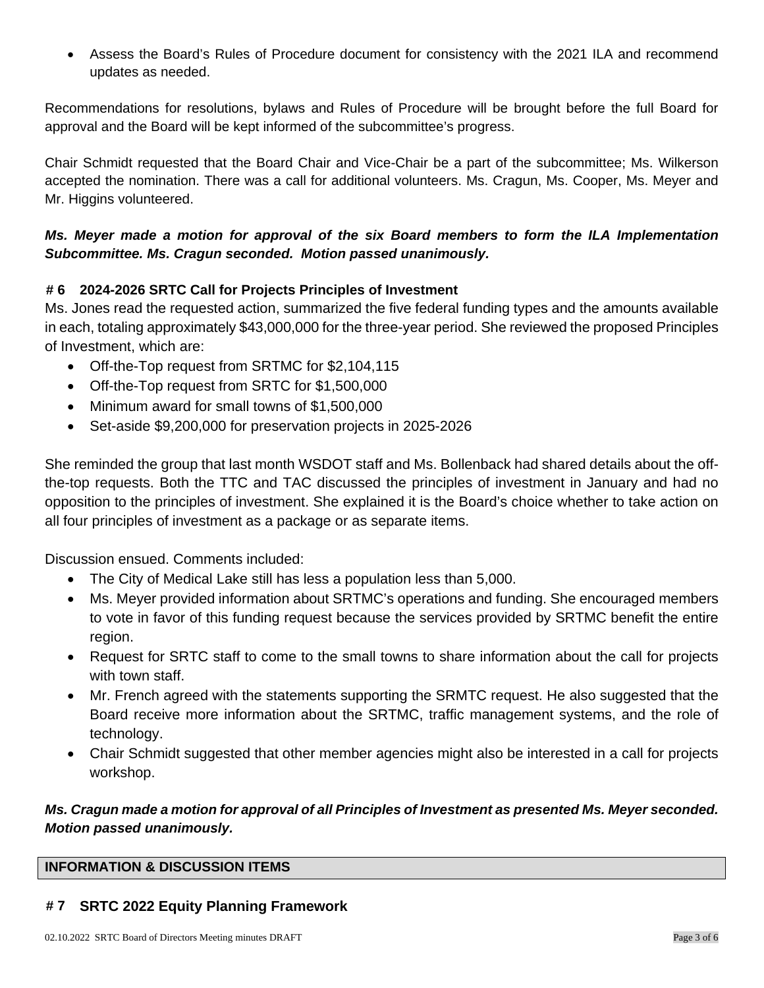• Assess the Board's Rules of Procedure document for consistency with the 2021 ILA and recommend updates as needed.

Recommendations for resolutions, bylaws and Rules of Procedure will be brought before the full Board for approval and the Board will be kept informed of the subcommittee's progress.

Chair Schmidt requested that the Board Chair and Vice-Chair be a part of the subcommittee; Ms. Wilkerson accepted the nomination. There was a call for additional volunteers. Ms. Cragun, Ms. Cooper, Ms. Meyer and Mr. Higgins volunteered.

## *Ms. Meyer made a motion for approval of the six Board members to form the ILA Implementation Subcommittee. Ms. Cragun seconded. Motion passed unanimously.*

## **# 6 2024-2026 SRTC Call for Projects Principles of Investment**

Ms. Jones read the requested action, summarized the five federal funding types and the amounts available in each, totaling approximately \$43,000,000 for the three-year period. She reviewed the proposed Principles of Investment, which are:

- Off-the-Top request from SRTMC for \$2,104,115
- Off-the-Top request from SRTC for \$1,500,000
- Minimum award for small towns of \$1,500,000
- Set-aside \$9,200,000 for preservation projects in 2025-2026

She reminded the group that last month WSDOT staff and Ms. Bollenback had shared details about the offthe-top requests. Both the TTC and TAC discussed the principles of investment in January and had no opposition to the principles of investment. She explained it is the Board's choice whether to take action on all four principles of investment as a package or as separate items.

Discussion ensued. Comments included:

- The City of Medical Lake still has less a population less than 5,000.
- Ms. Meyer provided information about SRTMC's operations and funding. She encouraged members to vote in favor of this funding request because the services provided by SRTMC benefit the entire region.
- Request for SRTC staff to come to the small towns to share information about the call for projects with town staff.
- Mr. French agreed with the statements supporting the SRMTC request. He also suggested that the Board receive more information about the SRTMC, traffic management systems, and the role of technology.
- Chair Schmidt suggested that other member agencies might also be interested in a call for projects workshop.

## *Ms. Cragun made a motion for approval of all Principles of Investment as presented Ms. Meyer seconded. Motion passed unanimously.*

## **INFORMATION & DISCUSSION ITEMS**

## **# 7 SRTC 2022 Equity Planning Framework**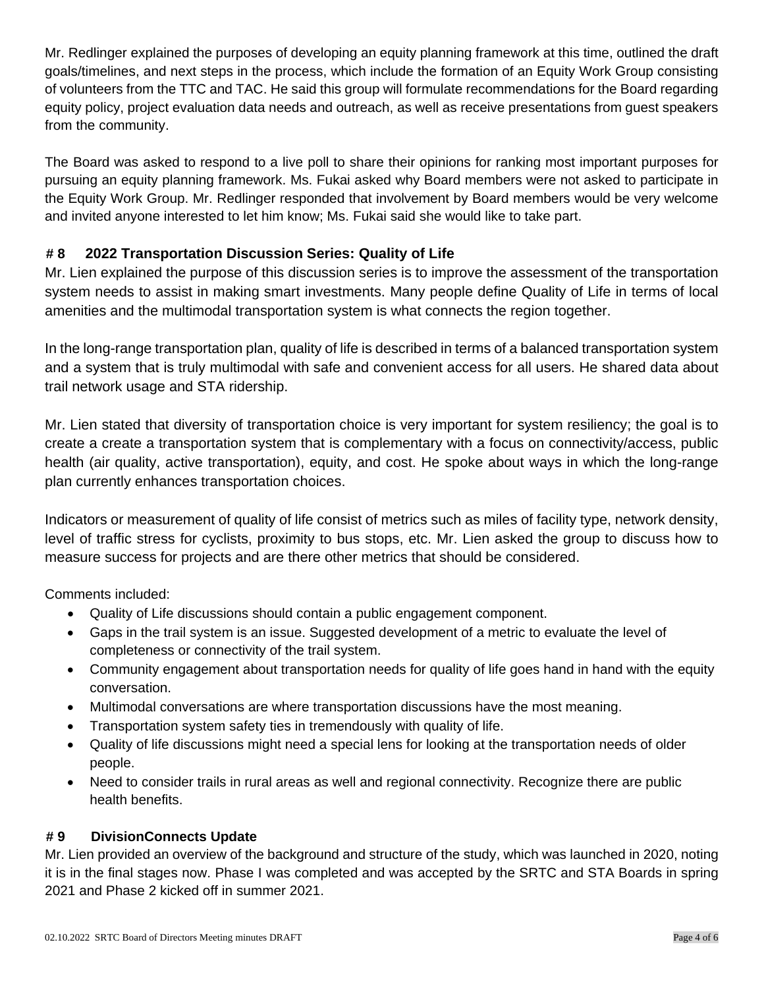Mr. Redlinger explained the purposes of developing an equity planning framework at this time, outlined the draft goals/timelines, and next steps in the process, which include the formation of an Equity Work Group consisting of volunteers from the TTC and TAC. He said this group will formulate recommendations for the Board regarding equity policy, project evaluation data needs and outreach, as well as receive presentations from guest speakers from the community.

The Board was asked to respond to a live poll to share their opinions for ranking most important purposes for pursuing an equity planning framework. Ms. Fukai asked why Board members were not asked to participate in the Equity Work Group. Mr. Redlinger responded that involvement by Board members would be very welcome and invited anyone interested to let him know; Ms. Fukai said she would like to take part.

# **# 8 2022 Transportation Discussion Series: Quality of Life**

Mr. Lien explained the purpose of this discussion series is to improve the assessment of the transportation system needs to assist in making smart investments. Many people define Quality of Life in terms of local amenities and the multimodal transportation system is what connects the region together.

In the long-range transportation plan, quality of life is described in terms of a balanced transportation system and a system that is truly multimodal with safe and convenient access for all users. He shared data about trail network usage and STA ridership.

Mr. Lien stated that diversity of transportation choice is very important for system resiliency; the goal is to create a create a transportation system that is complementary with a focus on connectivity/access, public health (air quality, active transportation), equity, and cost. He spoke about ways in which the long-range plan currently enhances transportation choices.

Indicators or measurement of quality of life consist of metrics such as miles of facility type, network density, level of traffic stress for cyclists, proximity to bus stops, etc. Mr. Lien asked the group to discuss how to measure success for projects and are there other metrics that should be considered.

Comments included:

- Quality of Life discussions should contain a public engagement component.
- Gaps in the trail system is an issue. Suggested development of a metric to evaluate the level of completeness or connectivity of the trail system.
- Community engagement about transportation needs for quality of life goes hand in hand with the equity conversation.
- Multimodal conversations are where transportation discussions have the most meaning.
- Transportation system safety ties in tremendously with quality of life.
- Quality of life discussions might need a special lens for looking at the transportation needs of older people.
- Need to consider trails in rural areas as well and regional connectivity. Recognize there are public health benefits.

# **# 9 DivisionConnects Update**

Mr. Lien provided an overview of the background and structure of the study, which was launched in 2020, noting it is in the final stages now. Phase I was completed and was accepted by the SRTC and STA Boards in spring 2021 and Phase 2 kicked off in summer 2021.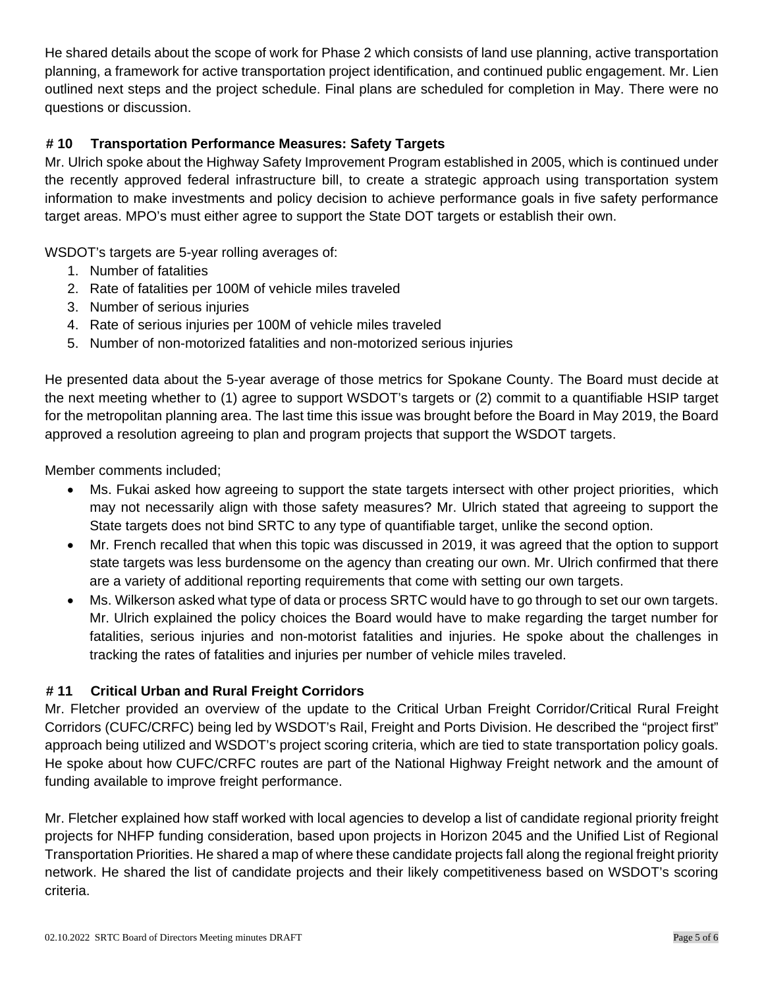He shared details about the scope of work for Phase 2 which consists of land use planning, active transportation planning, a framework for active transportation project identification, and continued public engagement. Mr. Lien outlined next steps and the project schedule. Final plans are scheduled for completion in May. There were no questions or discussion.

## **# 10 Transportation Performance Measures: Safety Targets**

Mr. Ulrich spoke about the Highway Safety Improvement Program established in 2005, which is continued under the recently approved federal infrastructure bill, to create a strategic approach using transportation system information to make investments and policy decision to achieve performance goals in five safety performance target areas. MPO's must either agree to support the State DOT targets or establish their own.

WSDOT's targets are 5-year rolling averages of:

- 1. Number of fatalities
- 2. Rate of fatalities per 100M of vehicle miles traveled
- 3. Number of serious injuries
- 4. Rate of serious injuries per 100M of vehicle miles traveled
- 5. Number of non-motorized fatalities and non-motorized serious injuries

He presented data about the 5-year average of those metrics for Spokane County. The Board must decide at the next meeting whether to (1) agree to support WSDOT's targets or (2) commit to a quantifiable HSIP target for the metropolitan planning area. The last time this issue was brought before the Board in May 2019, the Board approved a resolution agreeing to plan and program projects that support the WSDOT targets.

Member comments included;

- Ms. Fukai asked how agreeing to support the state targets intersect with other project priorities, which may not necessarily align with those safety measures? Mr. Ulrich stated that agreeing to support the State targets does not bind SRTC to any type of quantifiable target, unlike the second option.
- Mr. French recalled that when this topic was discussed in 2019, it was agreed that the option to support state targets was less burdensome on the agency than creating our own. Mr. Ulrich confirmed that there are a variety of additional reporting requirements that come with setting our own targets.
- Ms. Wilkerson asked what type of data or process SRTC would have to go through to set our own targets. Mr. Ulrich explained the policy choices the Board would have to make regarding the target number for fatalities, serious injuries and non-motorist fatalities and injuries. He spoke about the challenges in tracking the rates of fatalities and injuries per number of vehicle miles traveled.

## **# 11 Critical Urban and Rural Freight Corridors**

Mr. Fletcher provided an overview of the update to the Critical Urban Freight Corridor/Critical Rural Freight Corridors (CUFC/CRFC) being led by WSDOT's Rail, Freight and Ports Division. He described the "project first" approach being utilized and WSDOT's project scoring criteria, which are tied to state transportation policy goals. He spoke about how CUFC/CRFC routes are part of the National Highway Freight network and the amount of funding available to improve freight performance.

Mr. Fletcher explained how staff worked with local agencies to develop a list of candidate regional priority freight projects for NHFP funding consideration, based upon projects in Horizon 2045 and the Unified List of Regional Transportation Priorities. He shared a map of where these candidate projects fall along the regional freight priority network. He shared the list of candidate projects and their likely competitiveness based on WSDOT's scoring criteria.